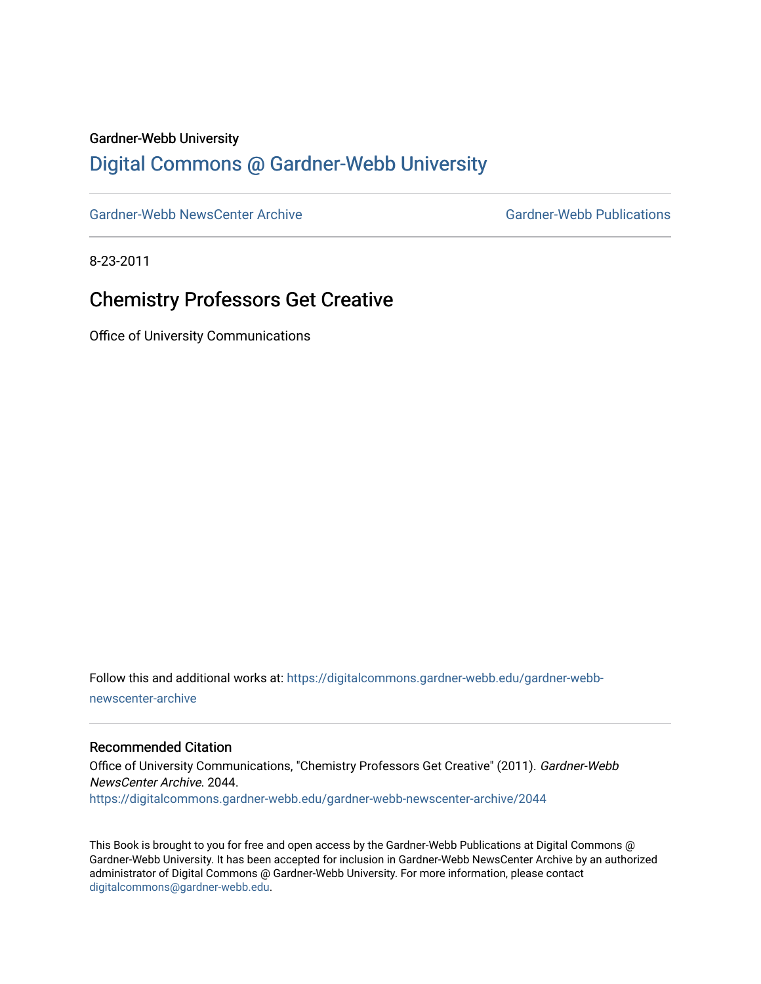#### Gardner-Webb University

### [Digital Commons @ Gardner-Webb University](https://digitalcommons.gardner-webb.edu/)

[Gardner-Webb NewsCenter Archive](https://digitalcommons.gardner-webb.edu/gardner-webb-newscenter-archive) Gardner-Webb Publications

8-23-2011

## Chemistry Professors Get Creative

Office of University Communications

Follow this and additional works at: [https://digitalcommons.gardner-webb.edu/gardner-webb](https://digitalcommons.gardner-webb.edu/gardner-webb-newscenter-archive?utm_source=digitalcommons.gardner-webb.edu%2Fgardner-webb-newscenter-archive%2F2044&utm_medium=PDF&utm_campaign=PDFCoverPages)[newscenter-archive](https://digitalcommons.gardner-webb.edu/gardner-webb-newscenter-archive?utm_source=digitalcommons.gardner-webb.edu%2Fgardner-webb-newscenter-archive%2F2044&utm_medium=PDF&utm_campaign=PDFCoverPages)

#### Recommended Citation

Office of University Communications, "Chemistry Professors Get Creative" (2011). Gardner-Webb NewsCenter Archive. 2044. [https://digitalcommons.gardner-webb.edu/gardner-webb-newscenter-archive/2044](https://digitalcommons.gardner-webb.edu/gardner-webb-newscenter-archive/2044?utm_source=digitalcommons.gardner-webb.edu%2Fgardner-webb-newscenter-archive%2F2044&utm_medium=PDF&utm_campaign=PDFCoverPages) 

This Book is brought to you for free and open access by the Gardner-Webb Publications at Digital Commons @ Gardner-Webb University. It has been accepted for inclusion in Gardner-Webb NewsCenter Archive by an authorized administrator of Digital Commons @ Gardner-Webb University. For more information, please contact [digitalcommons@gardner-webb.edu](mailto:digitalcommons@gardner-webb.edu).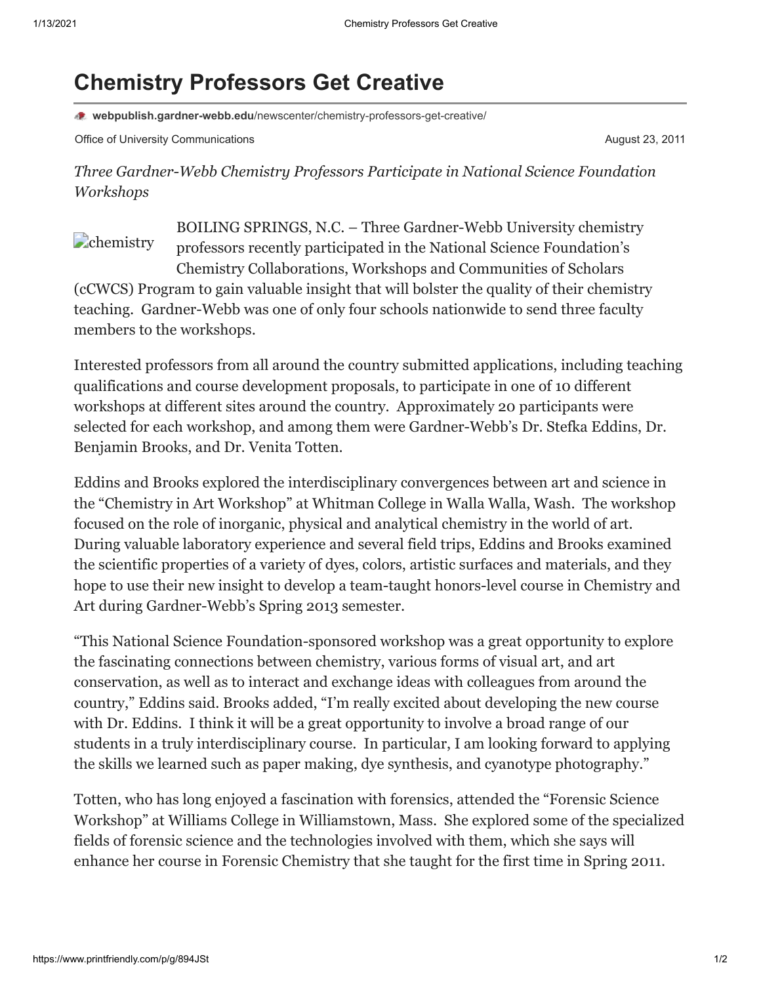# **Chemistry Professors Get Creative**

**webpublish.gardner-webb.edu**[/newscenter/chemistry-professors-get-creative/](https://webpublish.gardner-webb.edu/newscenter/chemistry-professors-get-creative/)

Office of University Communications **August 23, 2011** Communications August 23, 2011

*Three Gardner-Webb Chemistry Professors Participate in National Science Foundation Workshops*

**Chemistry** BOILING SPRINGS, N.C. – Three Gardner-Webb University chemistry professors recently participated in the National Science Foundation's Chemistry Collaborations, Workshops and Communities of Scholars (cCWCS) Program to gain valuable insight that will bolster the quality of their chemistry teaching. Gardner-Webb was one of only four schools nationwide to send three faculty members to the workshops.

Interested professors from all around the country submitted applications, including teaching qualifications and course development proposals, to participate in one of 10 different workshops at different sites around the country. Approximately 20 participants were selected for each workshop, and among them were Gardner-Webb's Dr. Stefka Eddins, Dr. Benjamin Brooks, and Dr. Venita Totten.

Eddins and Brooks explored the interdisciplinary convergences between art and science in the "Chemistry in Art Workshop" at Whitman College in Walla Walla, Wash. The workshop focused on the role of inorganic, physical and analytical chemistry in the world of art. During valuable laboratory experience and several field trips, Eddins and Brooks examined the scientific properties of a variety of dyes, colors, artistic surfaces and materials, and they hope to use their new insight to develop a team-taught honors-level course in Chemistry and Art during Gardner-Webb's Spring 2013 semester.

"This National Science Foundation-sponsored workshop was a great opportunity to explore the fascinating connections between chemistry, various forms of visual art, and art conservation, as well as to interact and exchange ideas with colleagues from around the country," Eddins said. Brooks added, "I'm really excited about developing the new course with Dr. Eddins. I think it will be a great opportunity to involve a broad range of our students in a truly interdisciplinary course. In particular, I am looking forward to applying the skills we learned such as paper making, dye synthesis, and cyanotype photography."

Totten, who has long enjoyed a fascination with forensics, attended the "Forensic Science Workshop" at Williams College in Williamstown, Mass. She explored some of the specialized fields of forensic science and the technologies involved with them, which she says will enhance her course in Forensic Chemistry that she taught for the first time in Spring 2011.